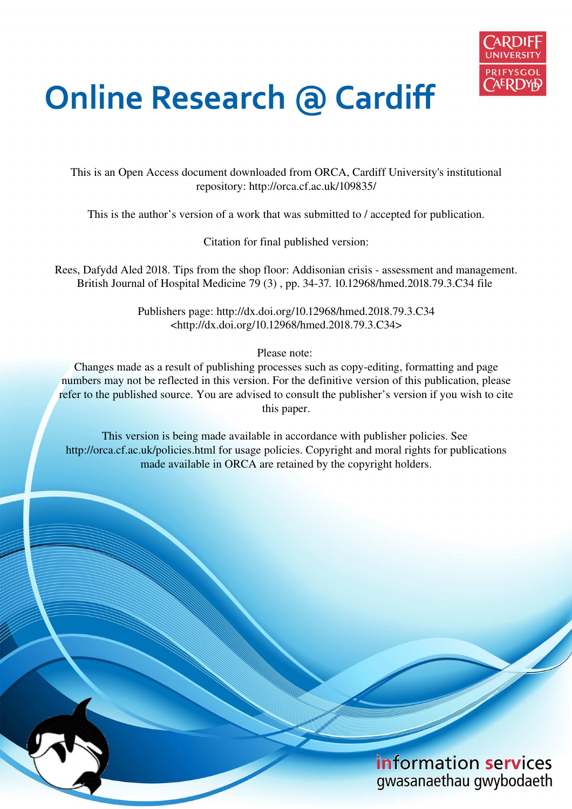

# **Online Research @ Cardiff**

This is an Open Access document downloaded from ORCA, Cardiff University's institutional repository: http://orca.cf.ac.uk/109835/

This is the author's version of a work that was submitted to / accepted for publication.

Citation for final published version:

Rees, Dafydd Aled 2018. Tips from the shop floor: Addisonian crisis - assessment and management. British Journal of Hospital Medicine 79 (3) , pp. 34-37. 10.12968/hmed.2018.79.3.C34 file

> Publishers page: http://dx.doi.org/10.12968/hmed.2018.79.3.C34 <http://dx.doi.org/10.12968/hmed.2018.79.3.C34>

> > Please note:

Changes made as a result of publishing processes such as copy-editing, formatting and page numbers may not be reflected in this version. For the definitive version of this publication, please refer to the published source. You are advised to consult the publisher's version if you wish to cite this paper.

This version is being made available in accordance with publisher policies. See http://orca.cf.ac.uk/policies.html for usage policies. Copyright and moral rights for publications made available in ORCA are retained by the copyright holders.

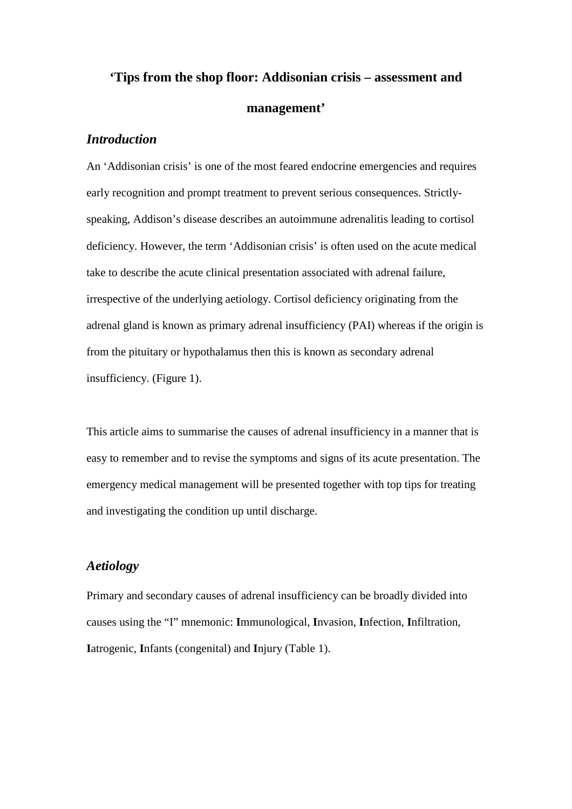# **'Tips from the shop floor: Addisonian crisis – assessment and management'**

# *Introduction*

An 'Addisonian crisis' is one of the most feared endocrine emergencies and requires early recognition and prompt treatment to prevent serious consequences. Strictlyspeaking, Addison's disease describes an autoimmune adrenalitis leading to cortisol deficiency. However, the term 'Addisonian crisis' is often used on the acute medical take to describe the acute clinical presentation associated with adrenal failure, irrespective of the underlying aetiology. Cortisol deficiency originating from the adrenal gland is known as primary adrenal insufficiency (PAI) whereas if the origin is from the pituitary or hypothalamus then this is known as secondary adrenal insufficiency. (Figure 1).

This article aims to summarise the causes of adrenal insufficiency in a manner that is easy to remember and to revise the symptoms and signs of its acute presentation. The emergency medical management will be presented together with top tips for treating and investigating the condition up until discharge.

# *Aetiology*

Primary and secondary causes of adrenal insufficiency can be broadly divided into causes using the "I" mnemonic: **I**mmunological, **I**nvasion, **I**nfection, **I**nfiltration, **I**atrogenic, **I**nfants (congenital) and **I**njury (Table 1).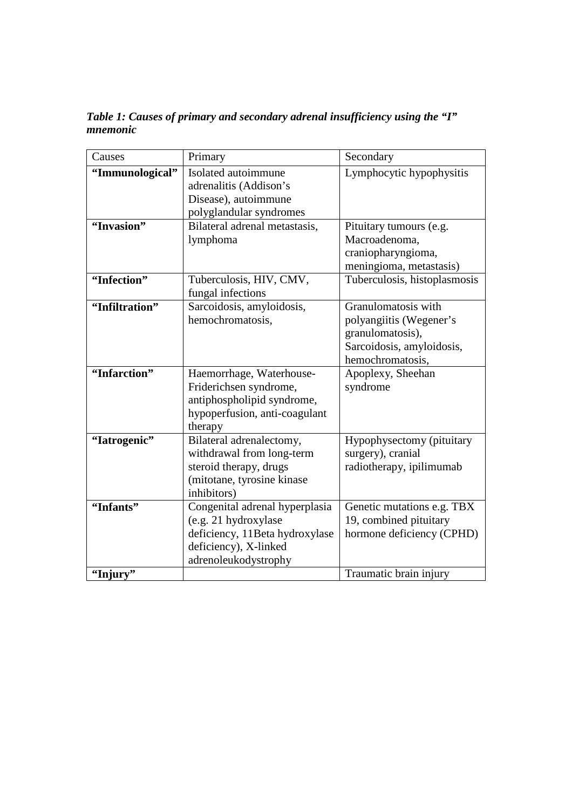*Table 1: Causes of primary and secondary adrenal insufficiency using the "I" mnemonic*

| Causes          | Primary                                        | Secondary                    |
|-----------------|------------------------------------------------|------------------------------|
| "Immunological" | Isolated autoimmune                            | Lymphocytic hypophysitis     |
|                 | adrenalitis (Addison's<br>Disease), autoimmune |                              |
|                 | polyglandular syndromes                        |                              |
| "Invasion"      | Bilateral adrenal metastasis,                  | Pituitary tumours (e.g.      |
|                 | lymphoma                                       | Macroadenoma,                |
|                 |                                                | craniopharyngioma,           |
|                 |                                                | meningioma, metastasis)      |
| "Infection"     | Tuberculosis, HIV, CMV,                        | Tuberculosis, histoplasmosis |
|                 | fungal infections                              |                              |
| "Infiltration"  | Sarcoidosis, amyloidosis,                      | Granulomatosis with          |
|                 | hemochromatosis,                               | polyangiitis (Wegener's      |
|                 |                                                | granulomatosis),             |
|                 |                                                | Sarcoidosis, amyloidosis,    |
|                 |                                                | hemochromatosis,             |
| "Infarction"    | Haemorrhage, Waterhouse-                       | Apoplexy, Sheehan            |
|                 | Friderichsen syndrome,                         | syndrome                     |
|                 | antiphospholipid syndrome,                     |                              |
|                 | hypoperfusion, anti-coagulant                  |                              |
|                 | therapy                                        |                              |
| "Iatrogenic"    | Bilateral adrenalectomy,                       | Hypophysectomy (pituitary    |
|                 | withdrawal from long-term                      | surgery), cranial            |
|                 | steroid therapy, drugs                         | radiotherapy, ipilimumab     |
|                 | (mitotane, tyrosine kinase<br>inhibitors)      |                              |
| "Infants"       | Congenital adrenal hyperplasia                 | Genetic mutations e.g. TBX   |
|                 | (e.g. 21 hydroxylase)                          | 19, combined pituitary       |
|                 | deficiency, 11Beta hydroxylase                 | hormone deficiency (CPHD)    |
|                 | deficiency), X-linked                          |                              |
|                 | adrenoleukodystrophy                           |                              |
| "Injury"        |                                                | Traumatic brain injury       |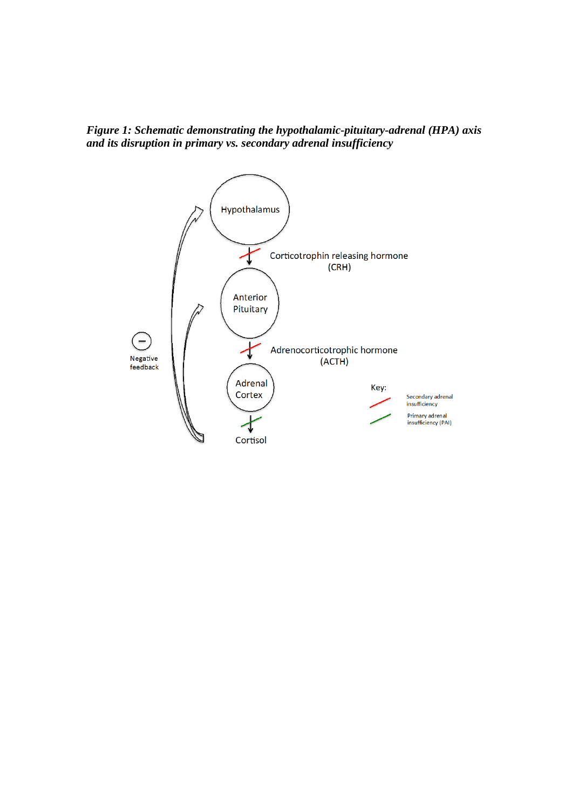

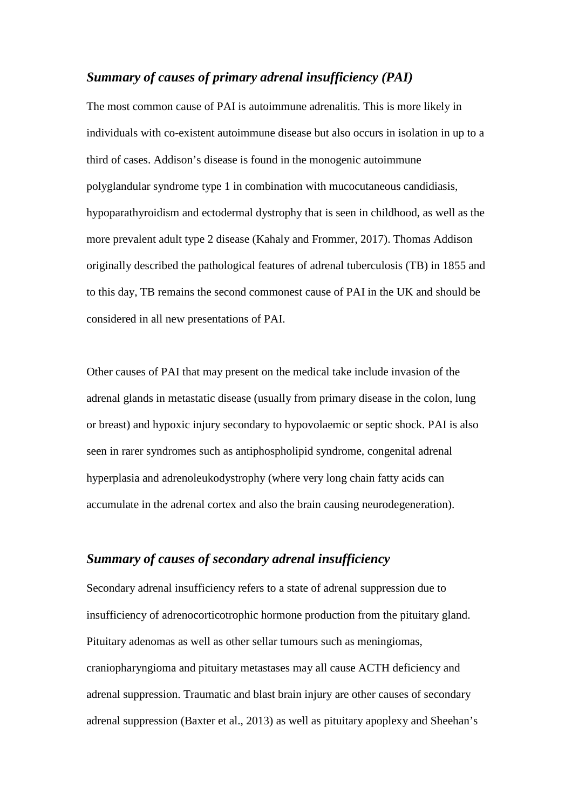# *Summary of causes of primary adrenal insufficiency (PAI)*

The most common cause of PAI is autoimmune adrenalitis. This is more likely in individuals with co-existent autoimmune disease but also occurs in isolation in up to a third of cases. Addison's disease is found in the monogenic autoimmune polyglandular syndrome type 1 in combination with mucocutaneous candidiasis, hypoparathyroidism and ectodermal dystrophy that is seen in childhood, as well as the more prevalent adult type 2 disease (Kahaly and Frommer, 2017). Thomas Addison originally described the pathological features of adrenal tuberculosis (TB) in 1855 and to this day, TB remains the second commonest cause of PAI in the UK and should be considered in all new presentations of PAI.

Other causes of PAI that may present on the medical take include invasion of the adrenal glands in metastatic disease (usually from primary disease in the colon, lung or breast) and hypoxic injury secondary to hypovolaemic or septic shock. PAI is also seen in rarer syndromes such as antiphospholipid syndrome, congenital adrenal hyperplasia and adrenoleukodystrophy (where very long chain fatty acids can accumulate in the adrenal cortex and also the brain causing neurodegeneration).

# *Summary of causes of secondary adrenal insufficiency*

Secondary adrenal insufficiency refers to a state of adrenal suppression due to insufficiency of adrenocorticotrophic hormone production from the pituitary gland. Pituitary adenomas as well as other sellar tumours such as meningiomas, craniopharyngioma and pituitary metastases may all cause ACTH deficiency and adrenal suppression. Traumatic and blast brain injury are other causes of secondary adrenal suppression (Baxter et al., 2013) as well as pituitary apoplexy and Sheehan's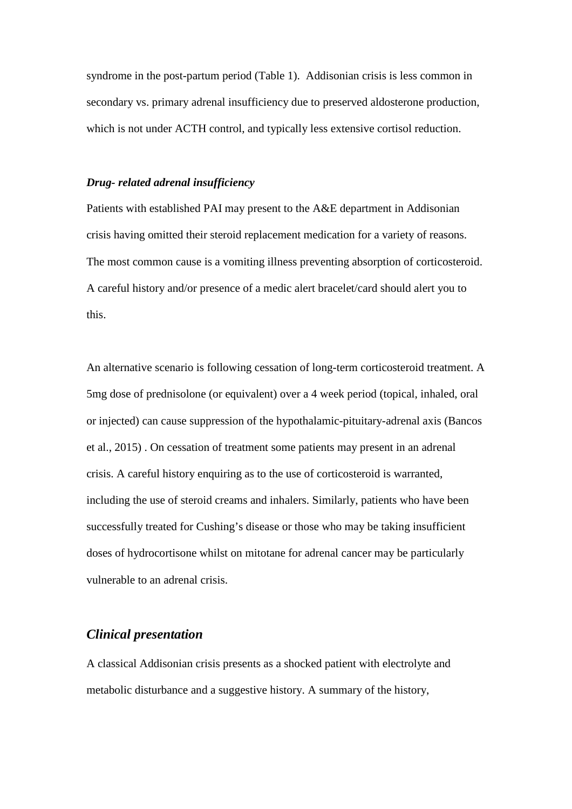syndrome in the post-partum period (Table 1). Addisonian crisis is less common in secondary vs. primary adrenal insufficiency due to preserved aldosterone production, which is not under ACTH control, and typically less extensive cortisol reduction.

#### *Drug- related adrenal insufficiency*

Patients with established PAI may present to the A&E department in Addisonian crisis having omitted their steroid replacement medication for a variety of reasons. The most common cause is a vomiting illness preventing absorption of corticosteroid. A careful history and/or presence of a medic alert bracelet/card should alert you to this.

An alternative scenario is following cessation of long-term corticosteroid treatment. A 5mg dose of prednisolone (or equivalent) over a 4 week period (topical, inhaled, oral or injected) can cause suppression of the hypothalamic-pituitary-adrenal axis (Bancos et al., 2015) . On cessation of treatment some patients may present in an adrenal crisis. A careful history enquiring as to the use of corticosteroid is warranted, including the use of steroid creams and inhalers. Similarly, patients who have been successfully treated for Cushing's disease or those who may be taking insufficient doses of hydrocortisone whilst on mitotane for adrenal cancer may be particularly vulnerable to an adrenal crisis.

# *Clinical presentation*

A classical Addisonian crisis presents as a shocked patient with electrolyte and metabolic disturbance and a suggestive history. A summary of the history,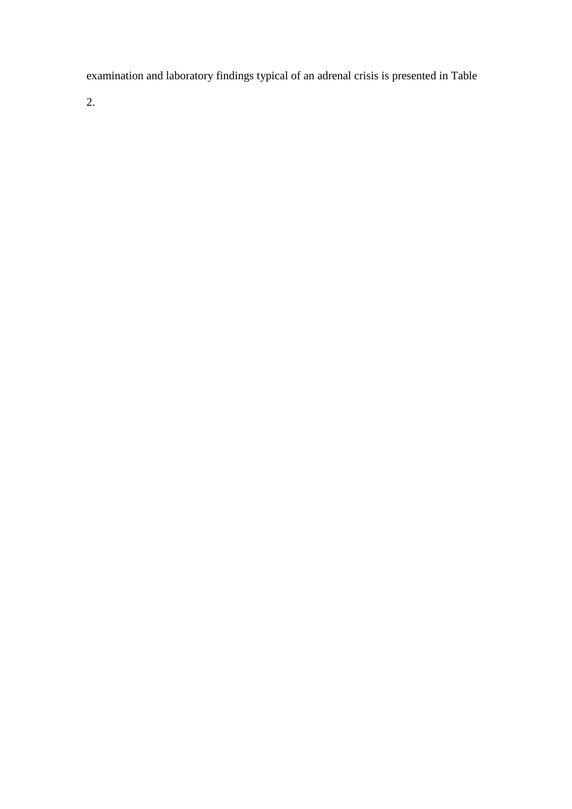examination and laboratory findings typical of an adrenal crisis is presented in Table

2.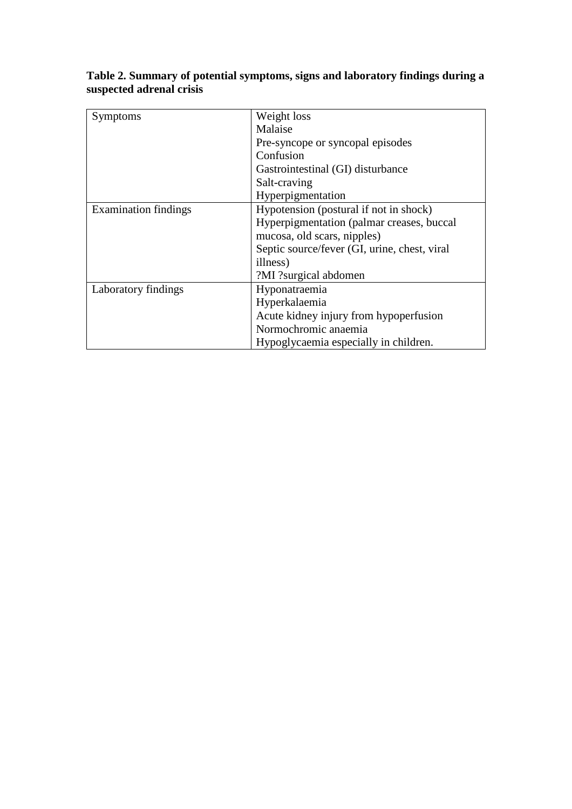| Symptoms                    | Weight loss                                  |
|-----------------------------|----------------------------------------------|
|                             | Malaise                                      |
|                             | Pre-syncope or syncopal episodes             |
|                             | Confusion                                    |
|                             | Gastrointestinal (GI) disturbance            |
|                             | Salt-craving                                 |
|                             | Hyperpigmentation                            |
| <b>Examination findings</b> | Hypotension (postural if not in shock)       |
|                             | Hyperpigmentation (palmar creases, buccal    |
|                             | mucosa, old scars, nipples)                  |
|                             | Septic source/fever (GI, urine, chest, viral |
|                             | illness)                                     |
|                             | ?MI ?surgical abdomen                        |
| Laboratory findings         | Hyponatraemia                                |
|                             | Hyperkalaemia                                |
|                             | Acute kidney injury from hypoperfusion       |
|                             | Normochromic anaemia                         |
|                             | Hypoglycaemia especially in children.        |

# **Table 2. Summary of potential symptoms, signs and laboratory findings during a suspected adrenal crisis**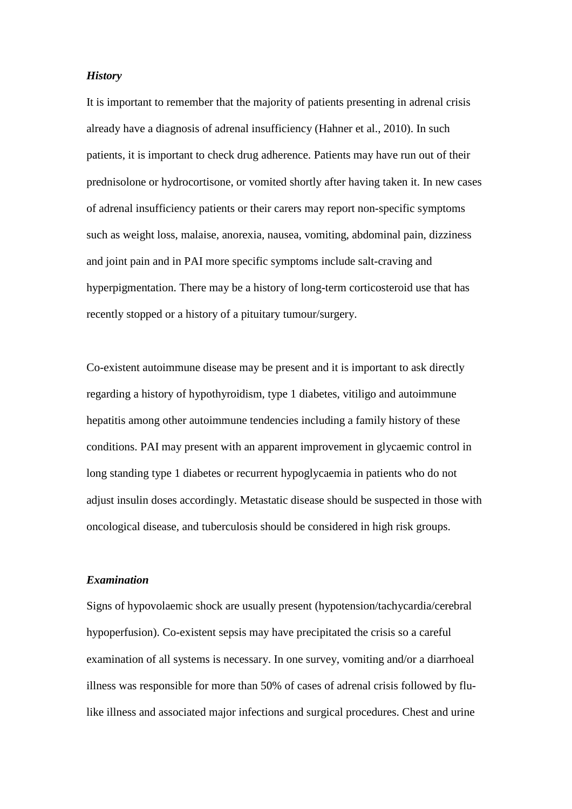#### *History*

It is important to remember that the majority of patients presenting in adrenal crisis already have a diagnosis of adrenal insufficiency (Hahner et al., 2010). In such patients, it is important to check drug adherence. Patients may have run out of their prednisolone or hydrocortisone, or vomited shortly after having taken it. In new cases of adrenal insufficiency patients or their carers may report non-specific symptoms such as weight loss, malaise, anorexia, nausea, vomiting, abdominal pain, dizziness and joint pain and in PAI more specific symptoms include salt-craving and hyperpigmentation. There may be a history of long-term corticosteroid use that has recently stopped or a history of a pituitary tumour/surgery.

Co-existent autoimmune disease may be present and it is important to ask directly regarding a history of hypothyroidism, type 1 diabetes, vitiligo and autoimmune hepatitis among other autoimmune tendencies including a family history of these conditions. PAI may present with an apparent improvement in glycaemic control in long standing type 1 diabetes or recurrent hypoglycaemia in patients who do not adjust insulin doses accordingly. Metastatic disease should be suspected in those with oncological disease, and tuberculosis should be considered in high risk groups.

#### *Examination*

Signs of hypovolaemic shock are usually present (hypotension/tachycardia/cerebral hypoperfusion). Co-existent sepsis may have precipitated the crisis so a careful examination of all systems is necessary. In one survey, vomiting and/or a diarrhoeal illness was responsible for more than 50% of cases of adrenal crisis followed by flulike illness and associated major infections and surgical procedures. Chest and urine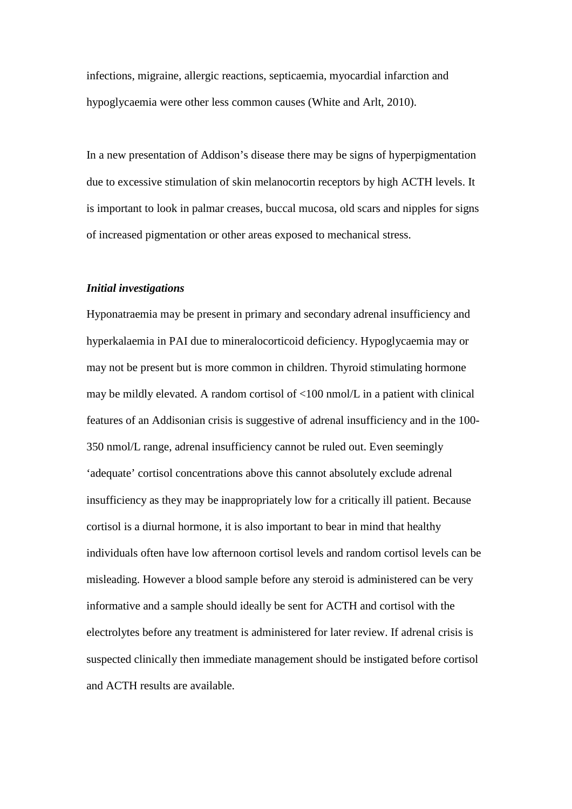infections, migraine, allergic reactions, septicaemia, myocardial infarction and hypoglycaemia were other less common causes (White and Arlt, 2010).

In a new presentation of Addison's disease there may be signs of hyperpigmentation due to excessive stimulation of skin melanocortin receptors by high ACTH levels. It is important to look in palmar creases, buccal mucosa, old scars and nipples for signs of increased pigmentation or other areas exposed to mechanical stress.

#### *Initial investigations*

Hyponatraemia may be present in primary and secondary adrenal insufficiency and hyperkalaemia in PAI due to mineralocorticoid deficiency. Hypoglycaemia may or may not be present but is more common in children. Thyroid stimulating hormone may be mildly elevated. A random cortisol of <100 nmol/L in a patient with clinical features of an Addisonian crisis is suggestive of adrenal insufficiency and in the 100- 350 nmol/L range, adrenal insufficiency cannot be ruled out. Even seemingly 'adequate' cortisol concentrations above this cannot absolutely exclude adrenal insufficiency as they may be inappropriately low for a critically ill patient. Because cortisol is a diurnal hormone, it is also important to bear in mind that healthy individuals often have low afternoon cortisol levels and random cortisol levels can be misleading. However a blood sample before any steroid is administered can be very informative and a sample should ideally be sent for ACTH and cortisol with the electrolytes before any treatment is administered for later review. If adrenal crisis is suspected clinically then immediate management should be instigated before cortisol and ACTH results are available.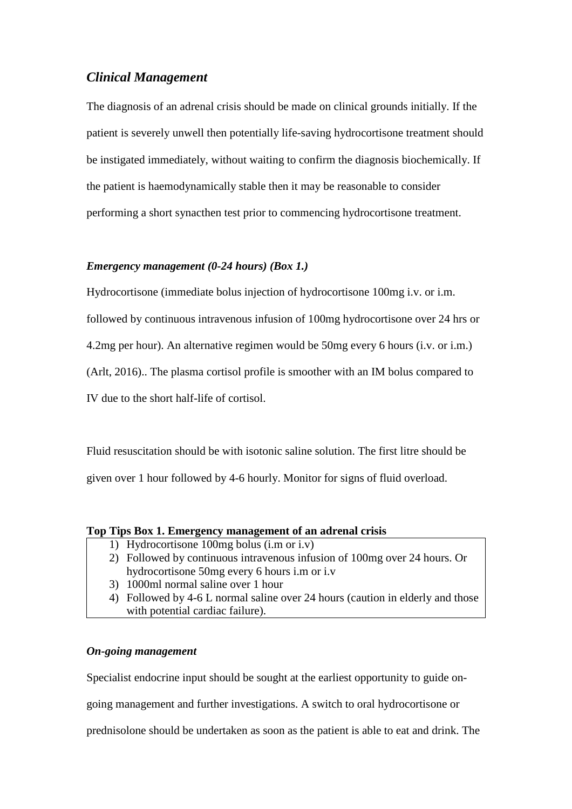# *Clinical Management*

The diagnosis of an adrenal crisis should be made on clinical grounds initially. If the patient is severely unwell then potentially life-saving hydrocortisone treatment should be instigated immediately, without waiting to confirm the diagnosis biochemically. If the patient is haemodynamically stable then it may be reasonable to consider performing a short synacthen test prior to commencing hydrocortisone treatment.

#### *Emergency management (0-24 hours) (Box 1.)*

Hydrocortisone (immediate bolus injection of hydrocortisone 100mg i.v. or i.m. followed by continuous intravenous infusion of 100mg hydrocortisone over 24 hrs or 4.2mg per hour). An alternative regimen would be 50mg every 6 hours (i.v. or i.m.) (Arlt, 2016).. The plasma cortisol profile is smoother with an IM bolus compared to IV due to the short half-life of cortisol.

Fluid resuscitation should be with isotonic saline solution. The first litre should be given over 1 hour followed by 4-6 hourly. Monitor for signs of fluid overload.

#### **Top Tips Box 1. Emergency management of an adrenal crisis**

- 1) Hydrocortisone 100mg bolus (i.m or i.v)
- 2) Followed by continuous intravenous infusion of 100mg over 24 hours. Or hydrocortisone 50mg every 6 hours i.m or i.v
- 3) 1000ml normal saline over 1 hour
- 4) Followed by 4-6 L normal saline over 24 hours (caution in elderly and those with potential cardiac failure).

#### *On-going management*

Specialist endocrine input should be sought at the earliest opportunity to guide on-

going management and further investigations. A switch to oral hydrocortisone or

prednisolone should be undertaken as soon as the patient is able to eat and drink. The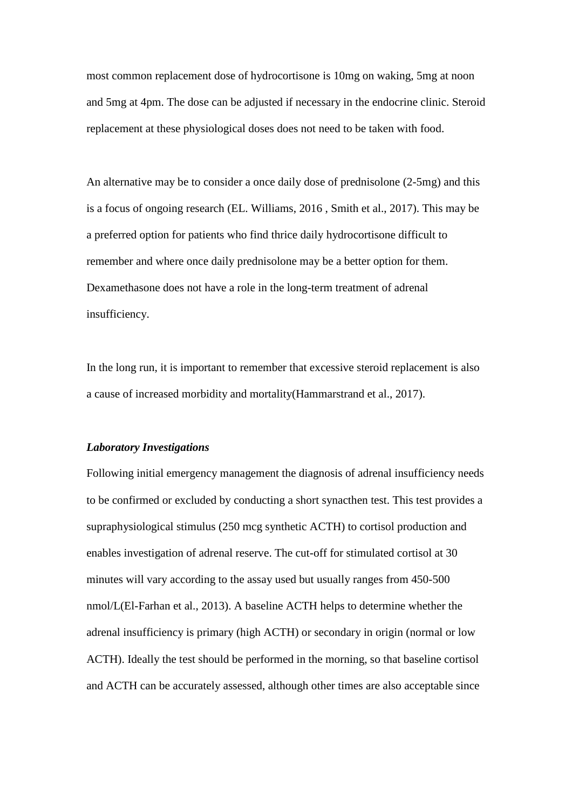most common replacement dose of hydrocortisone is 10mg on waking, 5mg at noon and 5mg at 4pm. The dose can be adjusted if necessary in the endocrine clinic. Steroid replacement at these physiological doses does not need to be taken with food.

An alternative may be to consider a once daily dose of prednisolone (2-5mg) and this is a focus of ongoing research (EL. Williams, 2016 , Smith et al., 2017). This may be a preferred option for patients who find thrice daily hydrocortisone difficult to remember and where once daily prednisolone may be a better option for them. Dexamethasone does not have a role in the long-term treatment of adrenal insufficiency.

In the long run, it is important to remember that excessive steroid replacement is also a cause of increased morbidity and mortality(Hammarstrand et al., 2017).

#### *Laboratory Investigations*

Following initial emergency management the diagnosis of adrenal insufficiency needs to be confirmed or excluded by conducting a short synacthen test. This test provides a supraphysiological stimulus (250 mcg synthetic ACTH) to cortisol production and enables investigation of adrenal reserve. The cut-off for stimulated cortisol at 30 minutes will vary according to the assay used but usually ranges from 450-500 nmol/L(El-Farhan et al., 2013). A baseline ACTH helps to determine whether the adrenal insufficiency is primary (high ACTH) or secondary in origin (normal or low ACTH). Ideally the test should be performed in the morning, so that baseline cortisol and ACTH can be accurately assessed, although other times are also acceptable since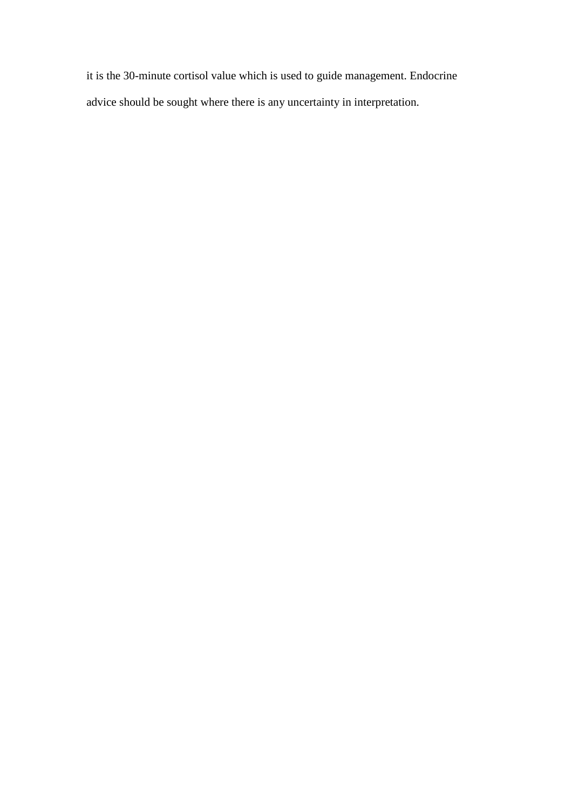it is the 30-minute cortisol value which is used to guide management. Endocrine advice should be sought where there is any uncertainty in interpretation.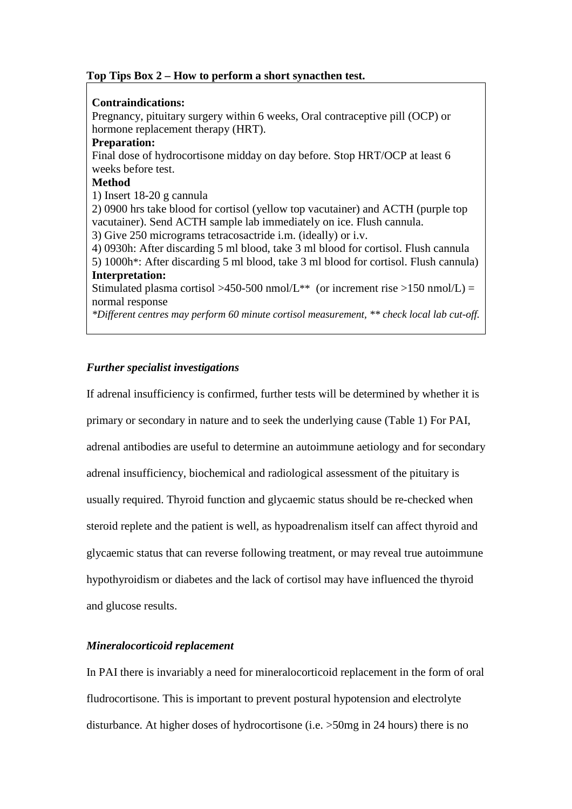# **Top Tips Box 2 – How to perform a short synacthen test.**

#### **Contraindications:**

Pregnancy, pituitary surgery within 6 weeks, Oral contraceptive pill (OCP) or hormone replacement therapy (HRT).

## **Preparation:**

Final dose of hydrocortisone midday on day before. Stop HRT/OCP at least 6 weeks before test.

# **Method**

1) Insert 18-20 g cannula

2) 0900 hrs take blood for cortisol (yellow top vacutainer) and ACTH (purple top vacutainer). Send ACTH sample lab immediately on ice. Flush cannula.

3) Give 250 micrograms tetracosactride i.m. (ideally) or i.v.

4) 0930h: After discarding 5 ml blood, take 3 ml blood for cortisol. Flush cannula 5) 1000h\*: After discarding 5 ml blood, take 3 ml blood for cortisol. Flush cannula) **Interpretation:** 

Stimulated plasma cortisol >450-500 nmol/L<sup>\*\*</sup> (or increment rise >150 nmol/L) = normal response

*\*Different centres may perform 60 minute cortisol measurement, \*\* check local lab cut-off.*

# *Further specialist investigations*

If adrenal insufficiency is confirmed, further tests will be determined by whether it is primary or secondary in nature and to seek the underlying cause (Table 1) For PAI, adrenal antibodies are useful to determine an autoimmune aetiology and for secondary adrenal insufficiency, biochemical and radiological assessment of the pituitary is usually required. Thyroid function and glycaemic status should be re-checked when steroid replete and the patient is well, as hypoadrenalism itself can affect thyroid and glycaemic status that can reverse following treatment, or may reveal true autoimmune hypothyroidism or diabetes and the lack of cortisol may have influenced the thyroid and glucose results.

# *Mineralocorticoid replacement*

In PAI there is invariably a need for mineralocorticoid replacement in the form of oral fludrocortisone. This is important to prevent postural hypotension and electrolyte disturbance. At higher doses of hydrocortisone (i.e. >50mg in 24 hours) there is no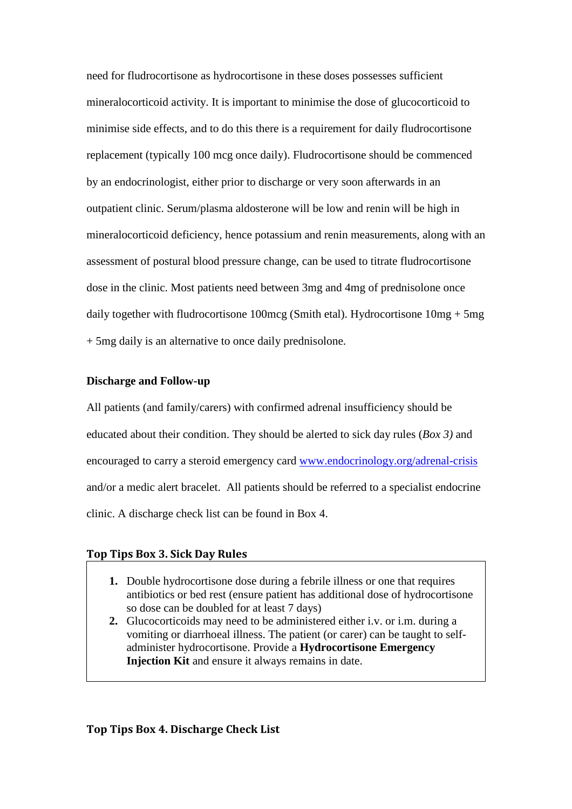need for fludrocortisone as hydrocortisone in these doses possesses sufficient mineralocorticoid activity. It is important to minimise the dose of glucocorticoid to minimise side effects, and to do this there is a requirement for daily fludrocortisone replacement (typically 100 mcg once daily). Fludrocortisone should be commenced by an endocrinologist, either prior to discharge or very soon afterwards in an outpatient clinic. Serum/plasma aldosterone will be low and renin will be high in mineralocorticoid deficiency, hence potassium and renin measurements, along with an assessment of postural blood pressure change, can be used to titrate fludrocortisone dose in the clinic. Most patients need between 3mg and 4mg of prednisolone once daily together with fludrocortisone 100mcg (Smith etal). Hydrocortisone 10mg + 5mg + 5mg daily is an alternative to once daily prednisolone.

#### **Discharge and Follow-up**

All patients (and family/carers) with confirmed adrenal insufficiency should be educated about their condition. They should be alerted to sick day rules (*Box 3)* and encouraged to carry a steroid emergency card [www.endocrinology.org/adrenal-crisis](http://www.endocrinology.org/adrenal-crisis) and/or a medic alert bracelet. All patients should be referred to a specialist endocrine clinic. A discharge check list can be found in Box 4.

#### **Top Tips Box 3. Sick Day Rules**

- **1.** Double hydrocortisone dose during a febrile illness or one that requires antibiotics or bed rest (ensure patient has additional dose of hydrocortisone so dose can be doubled for at least 7 days)
- **2.** Glucocorticoids may need to be administered either i.v. or i.m. during a vomiting or diarrhoeal illness. The patient (or carer) can be taught to selfadminister hydrocortisone. Provide a **Hydrocortisone Emergency Injection Kit** and ensure it always remains in date.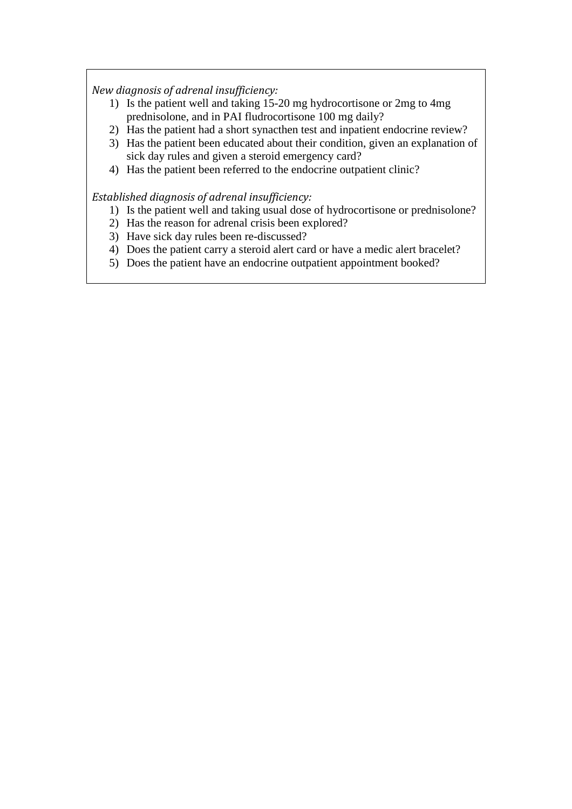*New diagnosis of adrenal insufficiency:*

- 1) Is the patient well and taking 15-20 mg hydrocortisone or 2mg to 4mg prednisolone, and in PAI fludrocortisone 100 mg daily?
- 2) Has the patient had a short synacthen test and inpatient endocrine review?
- 3) Has the patient been educated about their condition, given an explanation of sick day rules and given a steroid emergency card?
- 4) Has the patient been referred to the endocrine outpatient clinic?

*Established diagnosis of adrenal insufficiency:* 

- 1) Is the patient well and taking usual dose of hydrocortisone or prednisolone?
- 2) Has the reason for adrenal crisis been explored?
- 3) Have sick day rules been re-discussed?
- 4) Does the patient carry a steroid alert card or have a medic alert bracelet?
- 5) Does the patient have an endocrine outpatient appointment booked?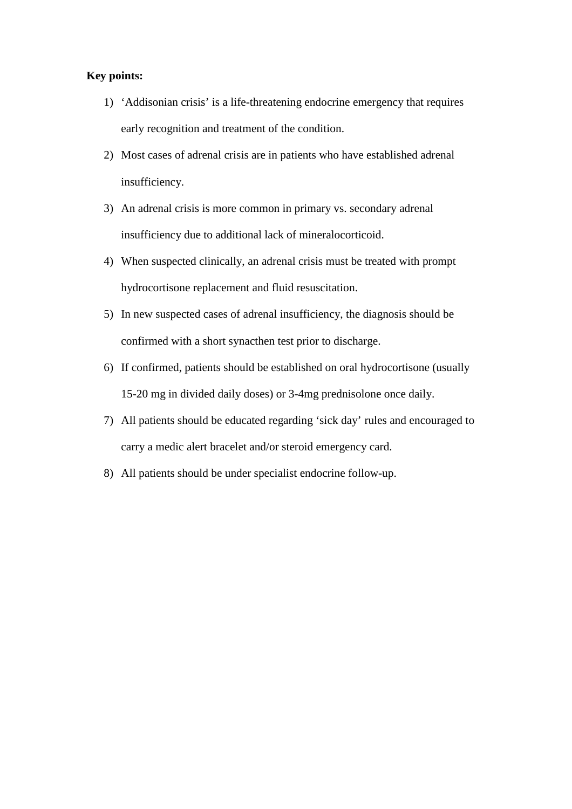# **Key points:**

- 1) 'Addisonian crisis' is a life-threatening endocrine emergency that requires early recognition and treatment of the condition.
- 2) Most cases of adrenal crisis are in patients who have established adrenal insufficiency.
- 3) An adrenal crisis is more common in primary vs. secondary adrenal insufficiency due to additional lack of mineralocorticoid.
- 4) When suspected clinically, an adrenal crisis must be treated with prompt hydrocortisone replacement and fluid resuscitation.
- 5) In new suspected cases of adrenal insufficiency, the diagnosis should be confirmed with a short synacthen test prior to discharge.
- 6) If confirmed, patients should be established on oral hydrocortisone (usually 15-20 mg in divided daily doses) or 3-4mg prednisolone once daily.
- 7) All patients should be educated regarding 'sick day' rules and encouraged to carry a medic alert bracelet and/or steroid emergency card.
- 8) All patients should be under specialist endocrine follow-up.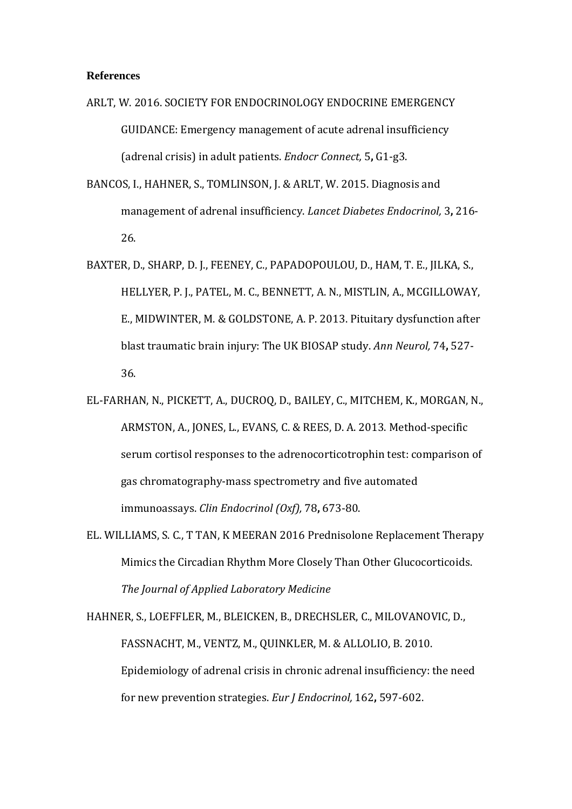#### **References**

- ARLT, W. 2016. SOCIETY FOR ENDOCRINOLOGY ENDOCRINE EMERGENCY GUIDANCE: Emergency management of acute adrenal insufficiency (adrenal crisis) in adult patients. *Endocr Connect,* 5**,** G1-g3.
- BANCOS, I., HAHNER, S., TOMLINSON, J. & ARLT, W. 2015. Diagnosis and management of adrenal insufficiency. *Lancet Diabetes Endocrinol,* 3**,** 216- 26.
- BAXTER, D., SHARP, D. J., FEENEY, C., PAPADOPOULOU, D., HAM, T. E., JILKA, S., HELLYER, P. J., PATEL, M. C., BENNETT, A. N., MISTLIN, A., MCGILLOWAY, E., MIDWINTER, M. & GOLDSTONE, A. P. 2013. Pituitary dysfunction after blast traumatic brain injury: The UK BIOSAP study. *Ann Neurol,* 74**,** 527- 36.
- EL-FARHAN, N., PICKETT, A., DUCROQ, D., BAILEY, C., MITCHEM, K., MORGAN, N., ARMSTON, A., JONES, L., EVANS, C. & REES, D. A. 2013. Method-specific serum cortisol responses to the adrenocorticotrophin test: comparison of gas chromatography-mass spectrometry and five automated immunoassays. *Clin Endocrinol (Oxf),* 78**,** 673-80.
- EL. WILLIAMS, S. C., T TAN, K MEERAN 2016 Prednisolone Replacement Therapy Mimics the Circadian Rhythm More Closely Than Other Glucocorticoids. *The Journal of Applied Laboratory Medicine*

HAHNER, S., LOEFFLER, M., BLEICKEN, B., DRECHSLER, C., MILOVANOVIC, D., FASSNACHT, M., VENTZ, M., QUINKLER, M. & ALLOLIO, B. 2010. Epidemiology of adrenal crisis in chronic adrenal insufficiency: the need for new prevention strategies. *Eur J Endocrinol,* 162**,** 597-602.